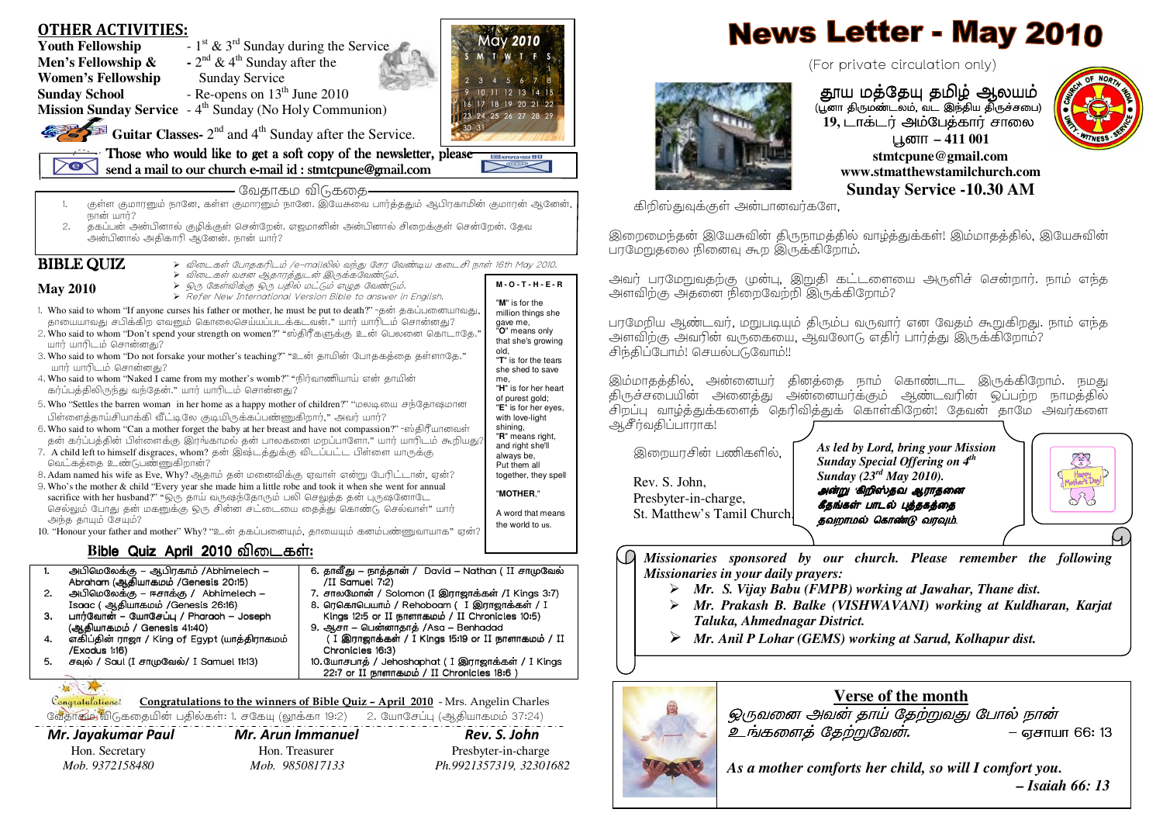| - $1^{st}$ & $3^{rd}$ Sunday during the Service<br><b>Youth Fellowship</b><br>TIME TE S<br>- $2nd$ & 4 <sup>th</sup> Sunday after the<br>Men's Fellowship &                                                                                                                                                                                                                                                                                                                                                                                                                                                                                                                                                                                                                                                                                                                                                                                                                                                                                                                                                                                                                                                                                                                                                                                                                                                                                                                                                                                                                                                                                                                                                                                                                                                                                                                                                                                                                      |                                                                                                                                                                                                                                                                                                                                                                                                                                                                                                                                                                                                                                                                                                                       |
|----------------------------------------------------------------------------------------------------------------------------------------------------------------------------------------------------------------------------------------------------------------------------------------------------------------------------------------------------------------------------------------------------------------------------------------------------------------------------------------------------------------------------------------------------------------------------------------------------------------------------------------------------------------------------------------------------------------------------------------------------------------------------------------------------------------------------------------------------------------------------------------------------------------------------------------------------------------------------------------------------------------------------------------------------------------------------------------------------------------------------------------------------------------------------------------------------------------------------------------------------------------------------------------------------------------------------------------------------------------------------------------------------------------------------------------------------------------------------------------------------------------------------------------------------------------------------------------------------------------------------------------------------------------------------------------------------------------------------------------------------------------------------------------------------------------------------------------------------------------------------------------------------------------------------------------------------------------------------------|-----------------------------------------------------------------------------------------------------------------------------------------------------------------------------------------------------------------------------------------------------------------------------------------------------------------------------------------------------------------------------------------------------------------------------------------------------------------------------------------------------------------------------------------------------------------------------------------------------------------------------------------------------------------------------------------------------------------------|
|                                                                                                                                                                                                                                                                                                                                                                                                                                                                                                                                                                                                                                                                                                                                                                                                                                                                                                                                                                                                                                                                                                                                                                                                                                                                                                                                                                                                                                                                                                                                                                                                                                                                                                                                                                                                                                                                                                                                                                                  | (For private circulation only)                                                                                                                                                                                                                                                                                                                                                                                                                                                                                                                                                                                                                                                                                        |
| <b>Women's Fellowship</b><br>Sunday Service<br>- Re-opens on $13th$ June 2010<br><b>Sunday School</b><br>10 11 12 13 14 15<br>17 18 19 20 21 22<br><b>Mission Sunday Service</b> $-4$ <sup>th</sup> Sunday (No Holy Communion)<br>23 24 25 26 27 28 29<br><b>Guitar Classes-</b> $2^{nd}$ and $4^{th}$ Sunday after the Service.<br>Those who would like to get a soft copy of the newsletter, please<br><b>Emment</b><br>$\geq$<br><b>DEEK</b>                                                                                                                                                                                                                                                                                                                                                                                                                                                                                                                                                                                                                                                                                                                                                                                                                                                                                                                                                                                                                                                                                                                                                                                                                                                                                                                                                                                                                                                                                                                                  | தூய மத்தேயு தமிழ் ஆலயம்<br>(பூனா திருமண்டலம், வட இந்திய திருச்சபை)<br>19, டாக்டர் அம்பேத்கார் சாலை<br>பூனா – 411 001<br>stmtcpune@gmail.com                                                                                                                                                                                                                                                                                                                                                                                                                                                                                                                                                                           |
| send a mail to our church e-mail id: stmtcpune@gmail.com                                                                                                                                                                                                                                                                                                                                                                                                                                                                                                                                                                                                                                                                                                                                                                                                                                                                                                                                                                                                                                                                                                                                                                                                                                                                                                                                                                                                                                                                                                                                                                                                                                                                                                                                                                                                                                                                                                                         | www.stmatthewstamilchurch.com                                                                                                                                                                                                                                                                                                                                                                                                                                                                                                                                                                                                                                                                                         |
| - வேதாகம விடுகதை-<br>.<br>குள்ள குமாரனும் நானே, கள்ள குமாரனும் நானே. இயேசுவை பார்த்ததும் ஆபிரகாமின் குமாரன் ஆனேன்,                                                                                                                                                                                                                                                                                                                                                                                                                                                                                                                                                                                                                                                                                                                                                                                                                                                                                                                                                                                                                                                                                                                                                                                                                                                                                                                                                                                                                                                                                                                                                                                                                                                                                                                                                                                                                                                               | <b>Sunday Service -10.30 AM</b><br>கிறிஸ்துவுக்குள் அன்பானவர்களே,                                                                                                                                                                                                                                                                                                                                                                                                                                                                                                                                                                                                                                                     |
| நான் யார்?<br>தகப்பன் அன்பினால் குழிக்குள் சென்றேன். எஜமானின் அன்பினால் சிறைக்குள் சென்றேன். தேவ<br>2.<br>அன்பினால் அதிகாரி ஆனேன். நான் யார்?                                                                                                                                                                                                                                                                                                                                                                                                                                                                                                                                                                                                                                                                                                                                                                                                                                                                                                                                                                                                                                                                                                                                                                                                                                                                                                                                                                                                                                                                                                                                                                                                                                                                                                                                                                                                                                    | இறைமைந்தன் இயேசுவின் திருநாமத்தில் வாழ்த்துக்கள்! இம்மாதத்தில், இயேசுவின்<br>பரமேறுதலை நினைவு கூற இருக்கிறோம்.                                                                                                                                                                                                                                                                                                                                                                                                                                                                                                                                                                                                        |
| <b>BIBLE QUIZ</b><br>≻ விடைகள் போதகரிடம் /e–mailலில் வந்து சேர வேண்டிய கடைசி நாள் 16th May 2010.<br>≻ விடைகள் வசன ஆதாரத்துடன் இருக்கவேண்டும்.<br>$M - O - T - H - E - R$<br>> ஒரு கேள்விக்கு ஒரு பதில் மட்டும் எழுத வேண்டும்.<br>> Refer New International Version Bible to answer in English.<br><b>May 2010</b>                                                                                                                                                                                                                                                                                                                                                                                                                                                                                                                                                                                                                                                                                                                                                                                                                                                                                                                                                                                                                                                                                                                                                                                                                                                                                                                                                                                                                                                                                                                                                                                                                                                                | அவர் பரமேறுவதற்கு முன்பு, இறுதி கட்டளையை அருளிச் சென்றார். நாம் எந்த<br>அளவிற்கு அதனை நிறைவேற்றி இருக்கிறோம்?                                                                                                                                                                                                                                                                                                                                                                                                                                                                                                                                                                                                         |
| "M" is for the<br>1. Who said to whom "If anyone curses his father or mother, he must be put to death?" "தன் தகப்பனையாவது,<br>million things she<br>தாயையாவது சபிக்கிற எவனும் கொலைசெய்யப்படக்கடவன்." யார் யாரிடம் சொன்னது?<br>gave me,<br>"O" means only<br>2. Who said to whom "Don't spend your strength on women?" "ஸ்திரீகளுக்கு உன் பெலனை கொடாதே."<br>that she's growing<br>யார் யாரிடம் சொன்னது?<br>old,<br>3. Who said to whom "Do not forsake your mother's teaching?" "உன் தாயின் போதகத்தை தள்ளாதே."<br>"T" is for the tears<br>யார் யாரிடம் சொன்னது?<br>she shed to save<br>4. Who said to whom "Naked I came from my mother's womb?" "நிர்வாணியாய் என் தாயின்<br>me,<br>"H" is for her heart<br>கர்ப்பத்திலிருந்து வந்தேன்." யார் யாரிடம் சொன்னது?<br>of purest gold;<br>5. Who "Settles the barren woman in her home as a happy mother of children?" "மலடியை சந்தோஷமான<br>"E" is for her eyes,<br>பிள்ளைத்தாய்சியாக்கி வீட்டிலே குடியிருக்கப்பண்ணுகிறார்," அவர் யார்?<br>with love-light<br>shining,<br>6. Who said to whom "Can a mother forget the baby at her breast and have not compassion?" "ஸ்திரீயானவள்<br>"R" means right,<br>தன் கர்ப்பத்தின் பிள்ளைக்கு இரங்காமல் தன் பாலகனை மறப்பாளோ." யார் யாரிடம் கூறியது<br>and right she'll<br>7. A child left to himself disgraces, whom? தன் இஷ்டத்துக்கு விடப்பட்ட பிள்ளை யாருக்கு<br>always be,<br>வெட்கத்தை உண்டுபண்ணுகிறான்?<br>Put them all<br>8. Adam named his wife as Eve, Why? ஆதாம் தன் மனைவிக்கு ஏவாள் என்று பேரிட்டான், ஏன்?<br>together, they spell<br>9. Who's the mother & child "Every year she made him a little robe and took it when she went for annual<br>"MOTHER."<br>sacrifice with her husband?" "ஒரு தாய் வருஷந்தோரும் பலி செலுத்த தன் புருஷனோடே<br>செல்லும் போது தன் மகனுக்கு ஒரு சின்ன சட்டையை தைத்து கொண்டு செல்வாள்" யார்<br>A word that means<br>அந்த தாயும் சேயும்?<br>the world to us.<br>10. "Honour your father and mother" Why? "உன் தகப்பனையும், தாயையும் கனம்பண்ணுவாயாக" ஏன்? | பரமேறிய ஆண்டவர், மறுபடியும் திரும்ப வருவார் என வேதம் கூறுகிறது. நாம் எந்த<br>அளவிற்கு அவரின் வருகையை, ஆவலோடு எதிர் பார்த்து இருக்கிறோம்?<br>சிந்திப்போம்! செயல்படுவோம்!!<br>இம்மாதத்தில், அன்னையர் தினத்தை நாம் கொண்டாட இருக்கிறோம். நமது<br>திருச்சபையின் அனைத்து அன்னையர்க்கும் ஆண்டவரின் ஒப்பற்ற நாமத்தில்<br>.<br>சிறப்பு வாழ்த்துக்களைத் தெரிவித்துக் கொள்கிறேன்! தேவன் தாமே அவர்களை<br>ஆசீர்வதிப்பாராக!<br>As led by Lord, bring your Mission<br>இறையரசின் பணிகளில்,<br>Sunday Special Offering on 4 <sup>th</sup><br>Sunday $(23^{rd}$ May 2010).<br>Rev. S. John,<br>அன்று கிறிஸ்தவ ஆராதனை<br>Y<br>Presbyter-in-charge,<br>கீதங்கள் பாடல் புத்தகத்தை<br>St. Matthew's Tamil Church,<br>தவறாமல் கொண்டு வரவும். |
| Bible Quiz April 2010 விடைகள்:                                                                                                                                                                                                                                                                                                                                                                                                                                                                                                                                                                                                                                                                                                                                                                                                                                                                                                                                                                                                                                                                                                                                                                                                                                                                                                                                                                                                                                                                                                                                                                                                                                                                                                                                                                                                                                                                                                                                                   | Missionaries sponsored by our church. Please remember the following                                                                                                                                                                                                                                                                                                                                                                                                                                                                                                                                                                                                                                                   |
| அபிமெலேக்கு – ஆபிரகாம் /Abhimelech –<br>6. தாவீது – நாத்தான் / David – Nathan ( II சாமுவேல்<br>Abraham (ஆதியாகமம் /Genesis 20:15)<br>/II Samuel 7:2)<br>அபிமெலேக்கு – ஈசாக்கு / Abhimelech –<br>7. சாலமோன் / Solomon (I இராஜாக்கள் /I Kings 3:7)<br>2.<br>Isaac (ஆதியாகமம் /Genesis 26:16)<br>8. ரெகொபெயாம் / Rehoboam ( I இராஜாக்கள் / I<br>பார்வோன் – யோசேப்பு / Pharaoh – Joseph<br>Kings 12:5 or II நாளாகமம் / II Chronicles 10:5)<br>(ஆதியாகமம் / Genesis 41:40)<br>9. ஆசா – பென்னாதாத் /Asa – Benhadad<br>(I இராஜாக்கள் / I Kings 15:19 or II நாளாகமம் / II<br>எகிப்தின் ராஜா / King of Egypt (யாத்திராகமம்<br>4.<br>/Exodus 1:16)<br>Chronicles 16:3)<br>சவுல் / Saul (I சாமுவேல்/ I Samuel 11:13)<br>10. யோசபாத் / Jehoshaphat ( I இராஜாக்கள் / I Kings<br>5.<br>22:7 or II நாளாகமம் / II Chronicles 18:6)<br>大人<br>Congratulations! Congratulations to the winners of Bible Quiz - April 2010 - Mrs. Angelin Charles<br>வேதாகம் விடுகதையின் பதில்கள்: 1. சகேயு (லூக்கா 19:2) 2. யோசேப்பு (ஆதியாகமம் 37:24)                                                                                                                                                                                                                                                                                                                                                                                                                                                                                                                                                                                                                                                                                                                                                                                                                                                                                                                                                              | Missionaries in your daily prayers:<br>$\triangleright$ Mr. S. Vijay Babu (FMPB) working at Jawahar, Thane dist.<br>Mr. Prakash B. Balke (VISHWAVANI) working at Kuldharan, Karjat<br>Taluka, Ahmednagar District.<br>$\triangleright$ Mr. Anil P Lohar (GEMS) working at Sarud, Kolhapur dist.<br>Verse of the month<br>ஒருவனை அவன் தாய் தேற்றுவது போல் நான்<br>உங்களைத் தேற்றுவேன்.<br>– ஏசாயா 66: 13                                                                                                                                                                                                                                                                                                               |

Mr. Jayakumar Paul Mr. Arun Immanuel

Rev. S. John Hon. Secretary Hon. Treasurer Presbyter-in-charge  *Mob. 9372158480 Mob. 9850817133 Ph.9921357319, 32301682* 

*As a mother comforts her child, so will I comfort you. – Isaiah 66: 13*

– ஏசாயா 66: 13